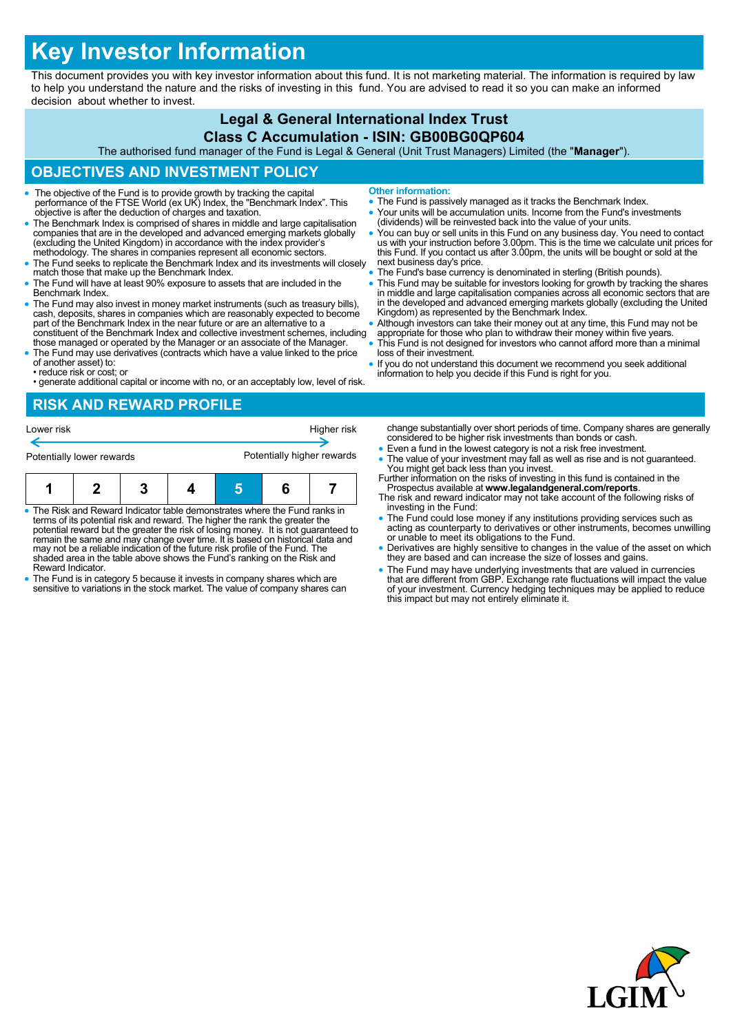# **Key Investor Information**

This document provides you with key investor information about this fund. It is not marketing material. The information is required by law to help you understand the nature and the risks of investing in this fund. You are advised to read it so you can make an informed decision about whether to invest.

#### **Legal & General International Index Trust Class C Accumulation - ISIN: GB00BG0QP604**

The authorised fund manager of the Fund is Legal & General (Unit Trust Managers) Limited (the "**Manager**").

## **OBJECTIVES AND INVESTMENT POLICY**

- The objective of the Fund is to provide growth by tracking the capital performance of the FTSE World (ex UK) Index, the "Benchmark Index". This objective is after the deduction of charges and taxation.
- The Benchmark Index is comprised of shares in middle and large capitalisation companies that are in the developed and advanced emerging markets globally (excluding the United Kingdom) in accordance with the index provider's methodology. The shares in companies represent all economic sectors.
- The Fund seeks to replicate the Benchmark Index and its investments will closely match those that make up the Benchmark Index.
- The Fund will have at least 90% exposure to assets that are included in the Benchmark Index.
- The Fund may also invest in money market instruments (such as treasury bills), cash, deposits, shares in companies which are reasonably expected to become part of the Benchmark Index in the near future or are an alternative to a constituent of the Benchmark Index and collective investment schemes, including those managed or operated by the Manager or an associate of the Manager.
- The Fund may use derivatives (contracts which have a value linked to the price of another asset) to:
- reduce risk or cost; or
- generate additional capital or income with no, or an acceptably low, level of risk.
- **Other information:**
- The Fund is passively managed as it tracks the Benchmark Index.
- Your units will be accumulation units. Income from the Fund's investments (dividends) will be reinvested back into the value of your units.
- You can buy or sell units in this Fund on any business day. You need to contact us with your instruction before 3.00pm. This is the time we calculate unit prices for this Fund. If you contact us after 3.00pm, the units will be bought or sold at the next business day's price.
- The Fund's base currency is denominated in sterling (British pounds).
- This Fund may be suitable for investors looking for growth by tracking the shares in middle and large capitalisation companies across all economic sectors that are in the developed and advanced emerging markets globally (excluding the United Kingdom) as represented by the Benchmark Index.
- Although investors can take their money out at any time, this Fund may not be appropriate for those who plan to withdraw their money within five years.
- This Fund is not designed for investors who cannot afford more than a minimal loss of their investment.
- If you do not understand this document we recommend you seek additional information to help you decide if this Fund is right for you.

#### **RISK AND REWARD PROFILE**



- The Risk and Reward Indicator table demonstrates where the Fund ranks in terms of its potential risk and reward. The higher the rank the greater the potential reward but the greater the risk of losing money. It is not guaranteed to remain the same and may change over time. It is based on historical data and may not be a reliable indication of the future risk profile of the Fund. The shaded area in the table above shows the Fund's ranking on the Risk and Reward Indicator.
- The Fund is in category 5 because it invests in company shares which are sensitive to variations in the stock market. The value of company shares can
- change substantially over short periods of time. Company shares are generally considered to be higher risk investments than bonds or cash. Even a fund in the lowest category is not a risk free investment.
- The value of your investment may fall as well as rise and is not guaranteed. You might get back less than you invest.
- Further information on the risks of investing in this fund is contained in the Prospectus available at **www.legalandgeneral.com/reports**.
- The risk and reward indicator may not take account of the following risks of investing in the Fund:
- The Fund could lose money if any institutions providing services such as acting as counterparty to derivatives or other instruments, becomes unwilling or unable to meet its obligations to the Fund.
- Derivatives are highly sensitive to changes in the value of the asset on which they are based and can increase the size of losses and gains.
- The Fund may have underlying investments that are valued in currencies that are different from GBP. Exchange rate fluctuations will impact the value of your investment. Currency hedging techniques may be applied to reduce this impact but may not entirely eliminate it.